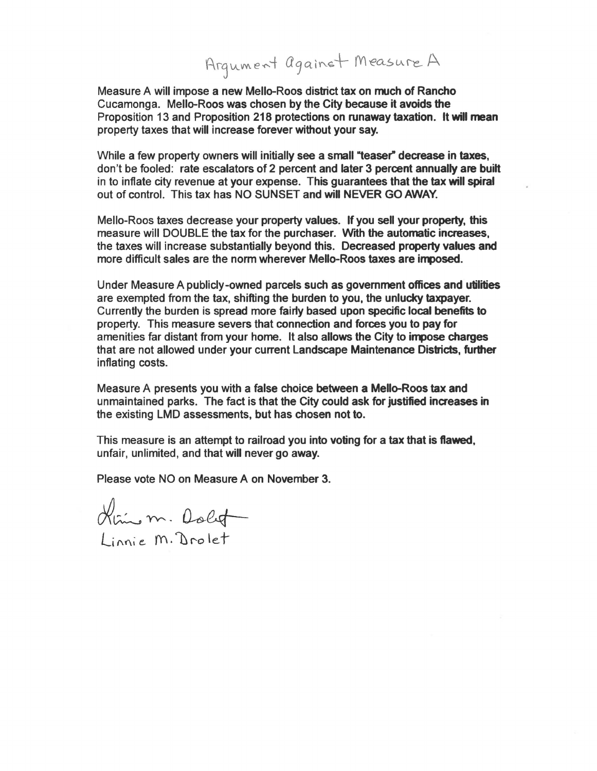## Arqument against Measure A

Measure A will impose a new Mello-Roos district tax on much of Rancho Cucamonga. Mello-Roos was chosen by the City because it avoids the Proposition 13 and Proposition 218 protections on runaway taxation. It will mean property taxes that will increase forever without your say.

While a few property owners will initially see a small "teaser" decrease in taxes, don't be fooled: rate escalators of 2 percent and later 3 percent annually are built in to inflate city revenue at your expense. This guarantees that the tax will spiral out of control. This tax has NO SUNSET and will NEVER GO AWAY.

Mello-Roos taxes decrease your property values. If you sell your property, this measure will DOUBLE the tax for the purchaser. With the automatic increases, the taxes will increase substantially beyond this. Decreased property values and more difficult sales are the norm wherever Mello-Roos taxes are imposed.

Under Measure A publicly-owned parcels such as government offices and utilities are exempted from the tax, shifting the burden to you, the unlucky taxpayer. Currently the burden is spread more fairty based upon specific local benefits to property. This measure severs that connection and forces you to pay for amenities far distant from your home. It also allows the City to impose charges that are not allowed under your current Landscape Maintenance Districts, further inflating costs.

Measure A presents you with a false choice between a Mello-Roos tax and unmaintained parks. The fact is that the City could ask for justified increases in the existing LMD assessments, but has chosen not to.

This measure is an attempt to railroad you into voting for a tax that is flawed, unfair, unlimited, and that will never go away.

Please vote NO on Measure A on November 3.

Him m. Dolot